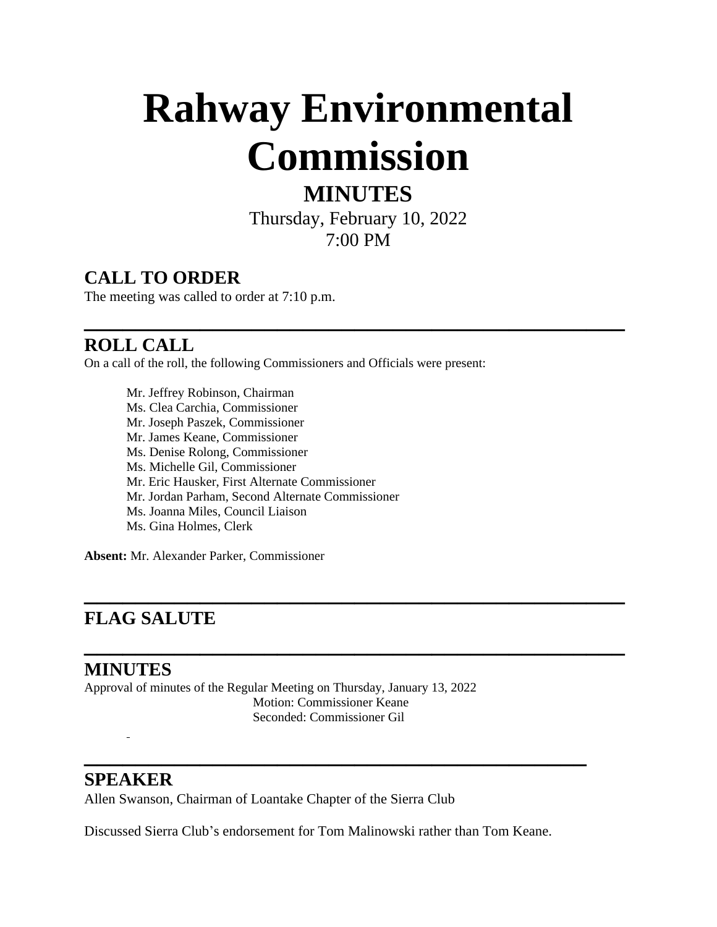# **Rahway Environmental Commission**

## **MINUTES**

Thursday, February 10, 2022 7:00 PM

**\_\_\_\_\_\_\_\_\_\_\_\_\_\_\_\_\_\_\_\_\_\_\_\_\_\_\_\_\_\_\_\_\_\_\_\_\_\_\_\_\_\_**

**\_\_\_\_\_\_\_\_\_\_\_\_\_\_\_\_\_\_\_\_\_\_\_\_\_\_\_\_\_\_\_\_\_\_\_\_\_\_\_\_\_\_**

**\_\_\_\_\_\_\_\_\_\_\_\_\_\_\_\_\_\_\_\_\_\_\_\_\_\_\_\_\_\_\_\_\_\_\_\_\_\_\_\_\_\_**

## **CALL TO ORDER**

The meeting was called to order at 7:10 p.m.

### **ROLL CALL**

On a call of the roll, the following Commissioners and Officials were present:

Mr. Jeffrey Robinson, Chairman Ms. Clea Carchia, Commissioner Mr. Joseph Paszek, Commissioner Mr. James Keane, Commissioner Ms. Denise Rolong, Commissioner Ms. Michelle Gil, Commissioner Mr. Eric Hausker, First Alternate Commissioner Mr. Jordan Parham, Second Alternate Commissioner Ms. Joanna Miles, Council Liaison Ms. Gina Holmes, Clerk

**Absent:** Mr. Alexander Parker, Commissioner

## **FLAG SALUTE**

#### **MINUTES**

Approval of minutes of the Regular Meeting on Thursday, January 13, 2022 Motion: Commissioner Keane Seconded: Commissioner Gil

#### **SPEAKER**

L,

Allen Swanson, Chairman of Loantake Chapter of the Sierra Club

Discussed Sierra Club's endorsement for Tom Malinowski rather than Tom Keane.

**\_\_\_\_\_\_\_\_\_\_\_\_\_\_\_\_\_\_\_\_\_\_\_\_\_\_\_\_\_\_\_\_\_\_\_\_\_\_\_**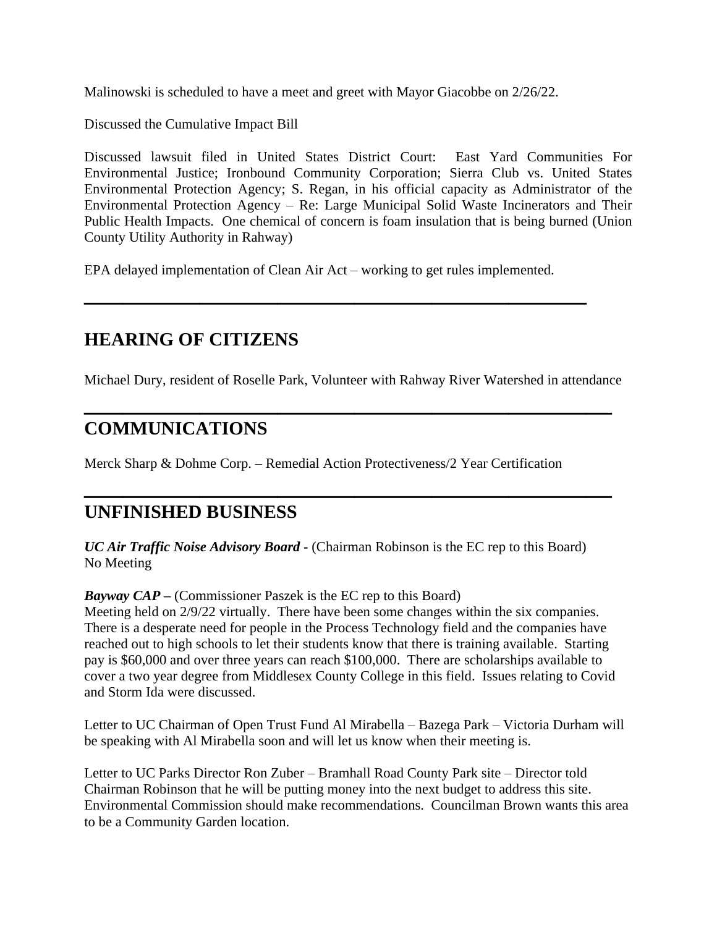Malinowski is scheduled to have a meet and greet with Mayor Giacobbe on 2/26/22.

Discussed the Cumulative Impact Bill

Discussed lawsuit filed in United States District Court: East Yard Communities For Environmental Justice; Ironbound Community Corporation; Sierra Club vs. United States Environmental Protection Agency; S. Regan, in his official capacity as Administrator of the Environmental Protection Agency – Re: Large Municipal Solid Waste Incinerators and Their Public Health Impacts. One chemical of concern is foam insulation that is being burned (Union County Utility Authority in Rahway)

EPA delayed implementation of Clean Air Act – working to get rules implemented.

**\_\_\_\_\_\_\_\_\_\_\_\_\_\_\_\_\_\_\_\_\_\_\_\_\_\_\_\_\_\_\_\_\_\_\_\_\_\_\_**

## **HEARING OF CITIZENS**

Michael Dury, resident of Roselle Park, Volunteer with Rahway River Watershed in attendance

**\_\_\_\_\_\_\_\_\_\_\_\_\_\_\_\_\_\_\_\_\_\_\_\_\_\_\_\_\_\_\_\_\_\_\_\_\_\_\_\_\_**

**\_\_\_\_\_\_\_\_\_\_\_\_\_\_\_\_\_\_\_\_\_\_\_\_\_\_\_\_\_\_\_\_\_\_\_\_\_\_\_\_\_**

### **COMMUNICATIONS**

Merck Sharp & Dohme Corp. – Remedial Action Protectiveness/2 Year Certification

#### **UNFINISHED BUSINESS**

*UC Air Traffic Noise Advisory Board* **-** (Chairman Robinson is the EC rep to this Board) No Meeting

*Bayway CAP* **–** (Commissioner Paszek is the EC rep to this Board)

Meeting held on 2/9/22 virtually. There have been some changes within the six companies. There is a desperate need for people in the Process Technology field and the companies have reached out to high schools to let their students know that there is training available. Starting pay is \$60,000 and over three years can reach \$100,000. There are scholarships available to cover a two year degree from Middlesex County College in this field. Issues relating to Covid and Storm Ida were discussed.

Letter to UC Chairman of Open Trust Fund Al Mirabella – Bazega Park – Victoria Durham will be speaking with Al Mirabella soon and will let us know when their meeting is.

Letter to UC Parks Director Ron Zuber – Bramhall Road County Park site – Director told Chairman Robinson that he will be putting money into the next budget to address this site. Environmental Commission should make recommendations. Councilman Brown wants this area to be a Community Garden location.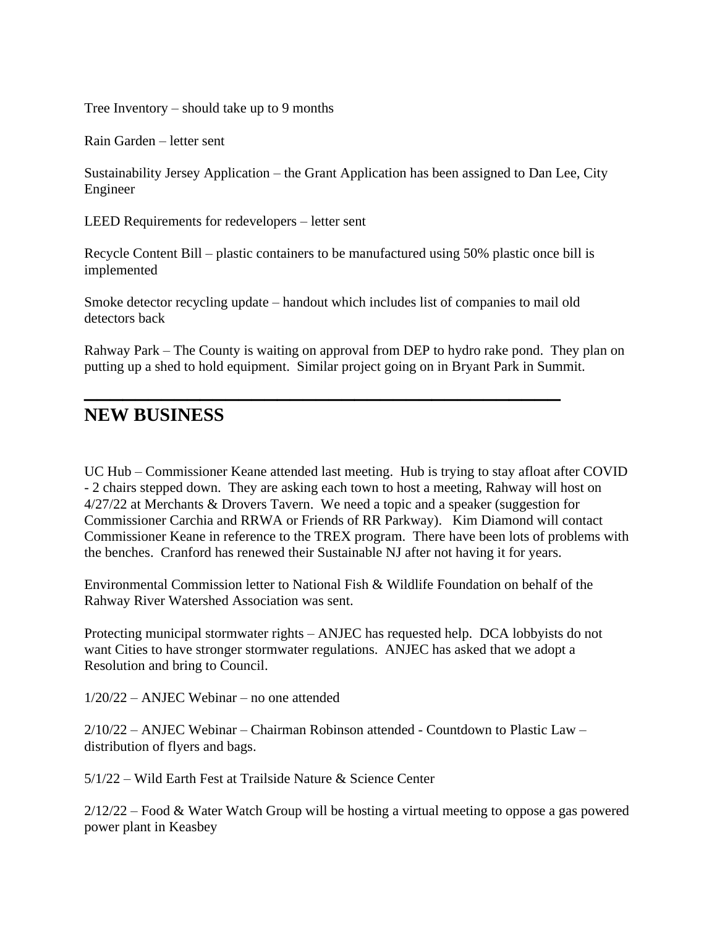Tree Inventory – should take up to 9 months

Rain Garden – letter sent

Sustainability Jersey Application – the Grant Application has been assigned to Dan Lee, City Engineer

LEED Requirements for redevelopers – letter sent

Recycle Content Bill – plastic containers to be manufactured using 50% plastic once bill is implemented

Smoke detector recycling update – handout which includes list of companies to mail old detectors back

**\_\_\_\_\_\_\_\_\_\_\_\_\_\_\_\_\_\_\_\_\_\_\_\_\_\_\_\_\_\_\_\_\_\_\_\_\_**

Rahway Park – The County is waiting on approval from DEP to hydro rake pond. They plan on putting up a shed to hold equipment. Similar project going on in Bryant Park in Summit.

#### **NEW BUSINESS**

UC Hub – Commissioner Keane attended last meeting. Hub is trying to stay afloat after COVID - 2 chairs stepped down. They are asking each town to host a meeting, Rahway will host on 4/27/22 at Merchants & Drovers Tavern. We need a topic and a speaker (suggestion for Commissioner Carchia and RRWA or Friends of RR Parkway). Kim Diamond will contact Commissioner Keane in reference to the TREX program. There have been lots of problems with the benches. Cranford has renewed their Sustainable NJ after not having it for years.

Environmental Commission letter to National Fish & Wildlife Foundation on behalf of the Rahway River Watershed Association was sent.

Protecting municipal stormwater rights – ANJEC has requested help. DCA lobbyists do not want Cities to have stronger stormwater regulations. ANJEC has asked that we adopt a Resolution and bring to Council.

1/20/22 – ANJEC Webinar – no one attended

2/10/22 – ANJEC Webinar – Chairman Robinson attended - Countdown to Plastic Law – distribution of flyers and bags.

5/1/22 – Wild Earth Fest at Trailside Nature & Science Center

2/12/22 – Food & Water Watch Group will be hosting a virtual meeting to oppose a gas powered power plant in Keasbey